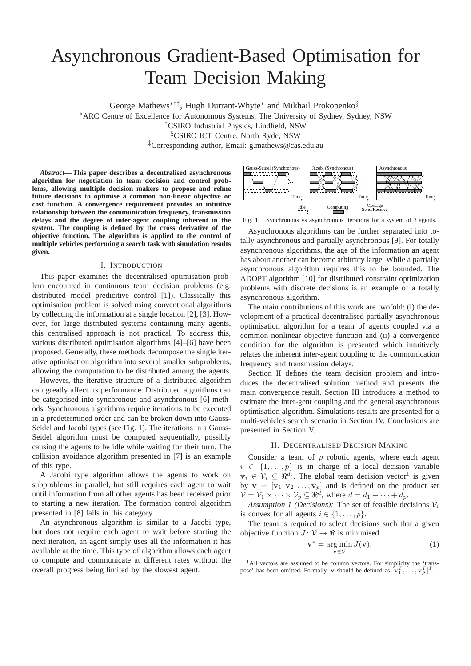# Asynchronous Gradient-Based Optimisation for Team Decision Making

George Mathews<sup>\*†‡</sup>, Hugh Durrant-Whyte<sup>\*</sup> and Mikhail Prokopenko<sup>§</sup>

<sup>∗</sup>ARC Centre of Excellence for Autonomous Systems, The University of Sydney, Sydney, NSW

†CSIRO Industrial Physics, Lindfield, NSW

§CSIRO ICT Centre, North Ryde, NSW

‡Corresponding author, Email: g.mathews@cas.edu.au

*Abstract***— This paper describes a decentralised asynchronous algorithm for negotiation in team decision and control problems, allowing multiple decision makers to propose and refine future decisions to optimise a common non-linear objective or cost function. A convergence requirement provides an intuitive relationship between the communication frequency, transmission delays and the degree of inter-agent coupling inherent in the system. The coupling is defined by the cross derivative of the objective function. The algorithm is applied to the control of multiple vehicles performing a search task with simulation results given.**

#### I. INTRODUCTION

This paper examines the decentralised optimisation problem encounted in continuous team decision problems (e.g. distributed model predicitive control [1]). Classically this optimisation problem is solved using conventional algorithms by collecting the information at a single location [2], [3]. However, for large distributed systems containing many agents, this centralised approach is not practical. To address this, various distributed optimisation algorithms [4]–[6] have been proposed. Generally, these methods decompose the single iterative optimisation algorithm into several smaller subproblems, allowing the computation to be distributed among the agents.

However, the iterative structure of a distributed algorithm can greatly affect its performance. Distributed algorithms can be categorised into synchronous and asynchronous [6] methods. Synchronous algorithms require iterations to be executed in a predetermined order and can be broken down into Gauss-Seidel and Jacobi types (see Fig. 1). The iterations in a Gauss-Seidel algorithm must be computed sequentially, possibly causing the agents to be idle while waiting for their turn. The collision avoidance algorithm presented in [7] is an example of this type.

A Jacobi type algorithm allows the agents to work on subproblems in parallel, but still requires each agent to wait until information from all other agents has been received prior to starting a new iteration. The formation control algorithm presented in [8] falls in this category.

An asynchronous algorithm is similar to a Jacobi type, but does not require each agent to wait before starting the next iteration, an agent simply uses all the information it has available at the time. This type of algorithm allows each agent to compute and communicate at different rates without the overall progress being limited by the slowest agent.



Fig. 1. Synchronous vs asynchronous iterations for a system of 3 agents.

Asynchronous algorithms can be further separated into totally asynchronous and partially asynchronous [9]. For totally asynchronous algorithms, the age of the information an agent has about another can become arbitrary large. While a partially asynchronous algorithm requires this to be bounded. The ADOPT algorithm [10] for distributed constraint optimization problems with discrete decisions is an example of a totally asynchronous algorithm.

The main contributions of this work are twofold: (i) the development of a practical decentralised partially asynchronous optimisation algorithm for a team of agents coupled via a common nonlinear objective function and (ii) a convergence condition for the algorithm is presented which intuitively relates the inherent inter-agent coupling to the communication frequency and transmission delays.

Section II defines the team decision problem and introduces the decentralised solution method and presents the main convergence result. Section III introduces a method to estimate the inter-gent coupling and the general asynchronous optimisation algorithm. Simulations results are presented for a multi-vehicles search scenario in Section IV. Conclusions are presented in Section V.

#### II. DECENTRALISED DECISION MAKING

Consider a team of  $p$  robotic agents, where each agent  $i \in \{1, \ldots, p\}$  is in charge of a local decision variable  $\mathbf{v}_i \in \mathcal{V}_i \subseteq \Re^{d_i}$ . The global team decision vector<sup>1</sup> is given by  $\mathbf{v} = [\mathbf{v}_1, \mathbf{v}_2, \dots, \mathbf{v}_p]$  and is defined on the product set  $\mathcal{V} = \mathcal{V}_1 \times \cdots \times \mathcal{V}_p \subseteq \Re^d$ , where  $d = d_1 + \cdots + d_p$ .

*Assumption 1 (Decisions):* The set of feasible decisions  $V_i$ is convex for all agents  $i \in \{1, \ldots, p\}.$ 

The team is required to select decisions such that a given objective function  $J: \mathcal{V} \to \mathbb{R}$  is minimised

$$
\mathbf{v}^* = \underset{\mathbf{v} \in \mathcal{V}}{\arg \min} J(\mathbf{v}),\tag{1}
$$

<sup>1</sup>All vectors are assumed to be column vectors. For simplicity the 'transpose' has been omitted. Formally, **v** should be defined as  $[\mathbf{v}_1^T, \dots, \mathbf{v}_p^T]^T$ .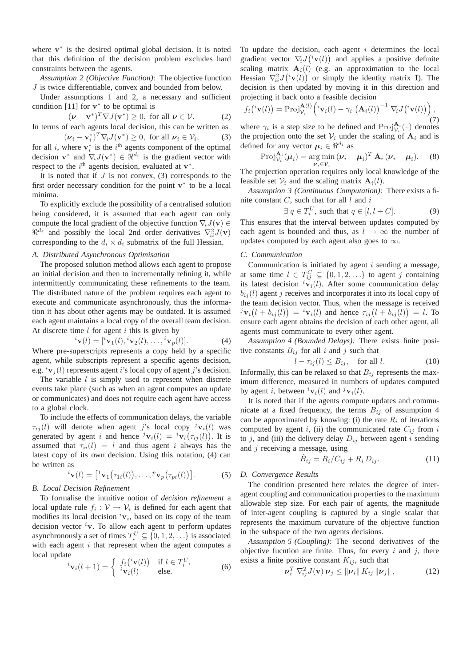where  $v^*$  is the desired optimal global decision. It is noted that this definition of the decision problem excludes hard constraints between the agents.

*Assumption 2 (Objective Function):* The objective function J is twice differentiable, convex and bounded from below.

Under assumptions 1 and 2, a necessary and sufficient condition [11] for  $v^*$  to be optimal is

$$
(\boldsymbol{\nu} - \mathbf{v}^*)^T \nabla J(\mathbf{v}^*) \ge 0, \text{ for all } \boldsymbol{\nu} \in \mathcal{V}.
$$
 (2)

In terms of each agents local decision, this can be written as

 $(\boldsymbol{\nu}_i - \mathbf{v}_i^*)^T \nabla_i J(\mathbf{v}^*) \geq 0$ , for all  $\boldsymbol{\nu}_i \in \mathcal{V}_i$  $(3)$ for all i, where  $v_i^*$  is the i<sup>th</sup> agents component of the optimal decision  $\mathbf{v}^*$  and  $\nabla_i J(\mathbf{v}^*) \in \mathbb{R}^{d_i}$  is the gradient vector with respect to the  $i^{\text{th}}$  agents decision, evaluated at  $\mathbf{v}^*$ .

It is noted that if  $J$  is not convex, (3) corresponds to the first order necessary condition for the point  $v^*$  to be a local minima.

To explicitly exclude the possibility of a centralised solution being considered, it is assumed that each agent can only compute the local gradient of the objective function  $\nabla_i J(\mathbf{v}) \in$  $\Re^{d_i}$  and possibly the local 2nd order derivatives  $\nabla^2_{ii} J(\mathbf{v})$ corresponding to the  $d_i \times d_i$  submatrix of the full Hessian.

## *A. Distributed Asynchronous Optimisation*

The proposed solution method allows each agent to propose an initial decision and then to incrementally refining it, while intermittently communicating these refinements to the team. The distributed nature of the problem requires each agent to execute and communicate asynchronously, thus the information it has about other agents may be outdated. It is assumed each agent maintains a local copy of the overall team decision. At discrete time  $l$  for agent  $i$  this is given by

$$
{}^{i}\mathbf{v}(l) = [{}^{i}\mathbf{v}_1(l), {}^{i}\mathbf{v}_2(l), \dots, {}^{i}\mathbf{v}_p(l)].
$$
 (4)

Where pre-superscripts represents a copy held by a specific agent, while subscripts represent a specific agents decision, e.g.  ${}^{i}v_{i}(l)$  represents agent i's local copy of agent j's decision.

The variable  $l$  is simply used to represent when discrete events take place (such as when an agent computes an update or communicates) and does not require each agent have access to a global clock.

To include the effects of communication delays, the variable  $\tau_{ij}(l)$  will denote when agent j's local copy  $\tau_{ij}(l)$  was generated by agent i and hence  $^j\mathbf{v}_i(l) = ^i\mathbf{v}_i(\tau_{ij}(l))$ . It is assumed that  $\tau_{ii}(l) = l$  and thus agent i always has the latest copy of its own decision. Using this notation, (4) can be written as

$$
{}^{i}\mathbf{v}(l) = \left[{}^{1}\mathbf{v}_{1}\big(\tau_{1i}(l)\big),\ldots,{}^{p}\mathbf{v}_{p}\big(\tau_{pi}(l)\big)\right].
$$
 (5)

## *B. Local Decision Refinement*

To formalise the intuitive notion of *decision refinement* a local update rule  $f_i: \mathcal{V} \to \mathcal{V}_i$  is defined for each agent that modifies its local decision  ${}^{i}v_{i}$ , based on its copy of the team decision vector  $i$ v. To allow each agent to perform updates asynchronously a set of times  $T_i^U \subseteq \{0, 1, 2, \ldots\}$  is associated with each agent  $i$  that represent when the agent computes a local update

$$
\tilde{\mathbf{v}}_{i}(\mathbf{l} + 1) = \begin{cases} f_{i}({}^{i}\mathbf{v}(l)) & \text{if } l \in T_{i}^{U}, \\ {}^{i}\mathbf{v}_{i}(l) & \text{else.} \end{cases}
$$
 (6)

To update the decision, each agent  $i$  determines the local gradient vector  $\nabla_i J(i\mathbf{v}(l))$  and applies a positive definite scaling matrix  $A_i(l)$  (e.g. an approximation to the local Hessian  $\nabla^2_{ii} J({}^{i} \mathbf{v}(l))$  or simply the identity matrix **I**). The decision is then updated by moving it in this direction and projecting it back onto a feasible decision

$$
f_i({}^{i}\mathbf{v}(l)) = \text{Proj}_{\mathcal{V}_i}^{\mathbf{A}(l)}({}^{i}\mathbf{v}_i(l) - \gamma_i \left(\mathbf{A}_i(l)\right)^{-1} \nabla_i J({}^{i}\mathbf{v}(l))\big), \tag{7}
$$

where  $\gamma_i$  is a step size to be defined and  $\text{Proj}_{\mathcal{V}_i}^{A_i}(\cdot)$  denotes the projection onto the set  $V_i$  under the scaling of  $A_i$  and is defined for any vector  $\mu_i \in \Re^{d_i}$  as

$$
\operatorname{Proj}_{\mathcal{V}_i}^{\mathbf{A}_i}(\boldsymbol{\mu}_i) = \underset{\boldsymbol{\nu}_i \in \mathcal{V}_i}{\arg \min} (\boldsymbol{\nu}_i - \boldsymbol{\mu}_i)^T \mathbf{A}_i (\boldsymbol{\nu}_i - \boldsymbol{\mu}_i). \tag{8}
$$

The projection operation requires only local knowledge of the feasible set  $V_i$  and the scaling matrix  $\mathbf{A}_i(l)$ .

*Assumption 3 (Continuous Computation):* There exists a finite constant  $C$ , such that for all  $l$  and  $i$ 

$$
\exists q \in T_i^U, \text{ such that } q \in [l, l+C]. \tag{9}
$$

This ensures that the interval between updates computed by each agent is bounded and thus, as  $l \rightarrow \infty$  the number of updates computed by each agent also goes to  $\infty$ .

## *C. Communication*

Communication is initiated by agent  $i$  sending a message, at some time  $l \in T_{ij}^C \subseteq \{0, 1, 2, \ldots\}$  to agent j containing its latest decision  ${}^{i}v_{i}(l)$ . After some communication delay  $b_{ij}(l)$  agent j receives and incorporates it into its local copy of the team decision vector. Thus, when the message is received  $\partial^j \mathbf{v}_i(l + b_{ij}(l)) = {^i \mathbf{v}_i(l)}$  and hence  $\tau_{ij}(l + b_{ij}(l)) = l$ . To ensure each agent obtains the decision of each other agent, all agents must communicate to every other agent.

*Assumption 4 (Bounded Delays):* There exists finite positive constants  $B_{ij}$  for all i and j such that

$$
l - \tau_{ij}(l) \le B_{ij}, \quad \text{for all } l. \tag{10}
$$

Informally, this can be relaxed so that  $B_{ij}$  represents the maximum difference, measured in numbers of updates computed by agent i, between  ${}^{i}v_i(l)$  and  ${}^{j}v_i(l)$ .

It is noted that if the agents compute updates and communicate at a fixed frequency, the terms  $B_{ij}$  of assumption 4 can be approximated by knowing: (i) the rate  $R_i$  of iterations computed by agent i, (ii) the communicated rate  $C_{ij}$  from i to j, and (iii) the delivery delay  $D_{ij}$  between agent i sending and  $j$  receiving a message, using

$$
\hat{B}_{ij} = R_i/C_{ij} + R_i D_{ij}.
$$
\n(11)

#### *D. Convergence Results*

The condition presented here relates the degree of interagent coupling and communication properties to the maximum allowable step size. For each pair of agents, the magnitude of inter-agent coupling is captured by a single scalar that represents the maximum curvature of the objective function in the subspace of the two agents decisions.

*Assumption 5 (Coupling):* The second derivatives of the objective fucntion are finite. Thus, for every  $i$  and  $j$ , there exists a finite positive constant  $K_{ij}$ , such that

$$
\nu_i^T \nabla_{ij}^2 J(\mathbf{v}) \nu_j \leq ||\nu_i|| K_{ij} ||\nu_j||, \qquad (12)
$$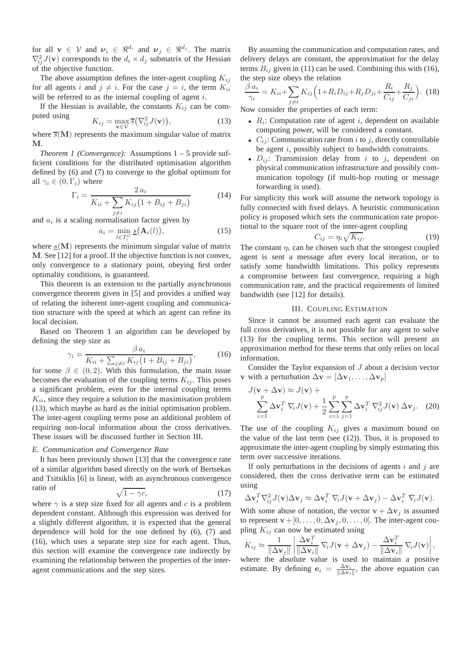for all  $\mathbf{v} \in \mathcal{V}$  and  $\mathbf{v}_i \in \mathbb{R}^{d_i}$  and  $\mathbf{v}_j \in \mathbb{R}^{d_j}$ . The matrix  $\nabla^2_{ij}J(\mathbf{v})$  corresponds to the  $d_i \times d_j$  submatrix of the Hessian of the objective function.

The above assumption defines the inter-agent coupling  $K_{ij}$ for all agents i and  $j \neq i$ . For the case  $j = i$ , the term  $K_{ii}$ will be referred to as the internal coupling of agent  $i$ .

If the Hessian is available, the constants  $K_{ij}$  can be computed using 2

$$
K_{ij} = \max_{\mathbf{v} \in \mathcal{V}} \overline{s}(\nabla_{ij}^2 J(\mathbf{v})),\tag{13}
$$

where  $\overline{s}(\mathbf{M})$  represents the maximum singular value of matrix M.

*Theorem 1 (Convergence):* Assumptions 1 – 5 provide sufficient conditions for the distributed optimisation algorithm defined by (6) and (7) to converge to the global optimum for all  $\gamma_i \in (0, \Gamma_i)$  where

$$
\Gamma_i = \frac{2 a_i}{K_{ii} + \sum_{j \neq i} K_{ij} (1 + B_{ij} + B_{ji})}
$$
(14)

and  $a_i$  is a scaling normalisation factor given by

$$
a_i = \min_{l \in T_i^C} \underline{s}(\mathbf{A}_i(l)),\tag{15}
$$

where  $s(\mathbf{M})$  represents the minimum singular value of matrix M. See [12] for a proof. If the objective function is not convex, only convergence to a stationary point, obeying first order optimality conditions, is guaranteed.

This theorem is an extension to the partially asynchronous convergence theorem given in [5] and provides a unified way of relating the inherent inter-agent coupling and communication structure with the speed at which an agent can refine its local decision.

Based on Theorem 1 an algorithm can be developed by defining the step size as

$$
\gamma_i = \frac{\beta a_i}{K_{ii} + \sum_{j \neq i} K_{ij} \left(1 + B_{ij} + B_{ji}\right)},\tag{16}
$$

for some  $\beta \in (0, 2)$ . With this formulation, the main issue becomes the evaluation of the coupling terms  $K_{ij}$ . This poses a significant problem, even for the internal coupling terms  $K_{ii}$ , since they require a solution to the maximisation problem (13), which maybe as hard as the initial optimisation problem. The inter-agent coupling terms pose an additional problem of requiring non-local information about the cross derivatives. These issues will be discussed further in Section III.

#### *E. Communication and Convergence Rate*

It has been previously shown [13] that the convergence rate of a similar algorithm based directly on the work of Bertsekas and Tsitsiklis [6] is linear, with an asynchronous convergence ratio of

$$
\sqrt{1 - \gamma c},\tag{17}
$$

where  $\gamma$  is a step size fixed for all agents and c is a problem dependent constant. Although this expression was derived for a slightly different algorithm, it is expected that the general dependence will hold for the one defined by (6), (7) and (16), which uses a separate step size for each agent. Thus, this section will examine the convergence rate indirectly by examining the relationship between the properties of the interagent communications and the step sizes.

By assuming the communication and computation rates, and delivery delays are constant, the approximation for the delay terms  $B_{ij}$  given in (11) can be used. Combining this with (16), the step size obeys the relation

$$
\frac{\beta a_i}{\gamma_i} = K_{ii} + \sum_{j \neq i} K_{ij} \left( 1 + R_i D_{ij} + R_j D_{ji} + \frac{R_i}{C_{ij}} + \frac{R_j}{C_{ji}} \right). \tag{18}
$$

Now consider the properties of each term:

- $R_i$ : Computation rate of agent i, dependent on available computing power, will be considered a constant.
- $C_{ij}$ : Communication rate from i to j, directly controllable be agent i, possibly subject to bandwidth constraints.
- $D_{ij}$ : Transmission delay from i to j, dependent on physical communication infrastructure and possibly communication topology (if multi-hop routing or message forwarding is used).

For simplicity this work will assume the network topology is fully connected with fixed delays. A heuristic communication policy is proposed which sets the communication rate proportional to the square root of the inter-agent coupling

$$
C_{ij} = \eta_i \sqrt{K_{ij}}.
$$
 (19)

The constant  $\eta_i$  can be chosen such that the strongest coupled agent is sent a message after every local iteration, or to satisfy some bandwidth limitations. This policy represents a compromise between fast convergence, requiring a high communication rate, and the practical requirements of limited bandwidth (see [12] for details).

# III. COUPLING ESTIMATION

Since it cannot be assumed each agent can evaluate the full cross derivatives, it is not possible for any agent to solve (13) for the coupling terms. This section will present an approximation method for these terms that only relies on local information.

Consider the Taylor expansion of J about a decision vector v with a perturbation  $\Delta v = [\Delta v_1, \dots, \Delta v_n]$ 

$$
J(\mathbf{v} + \Delta \mathbf{v}) \approx J(\mathbf{v}) +
$$
  

$$
\sum_{i=1}^{p} \Delta \mathbf{v}_{i}^{T} \nabla_{i} J(\mathbf{v}) + \frac{1}{2} \sum_{i=1}^{p} \sum_{j=1}^{p} \Delta \mathbf{v}_{i}^{T} \nabla_{ij}^{2} J(\mathbf{v}) \Delta \mathbf{v}_{j}.
$$
 (20)

The use of the coupling  $K_{ij}$  gives a maximum bound on the value of the last term (see (12)). Thus, it is proposed to approximate the inter-agent coupling by simply estimating this term over successive iterations.

If only perturbations in the decisions of agents  $i$  and  $j$  are considered, then the cross derivative term can be estimated using

$$
\Delta \mathbf{v}_i^T \nabla_{ij}^2 J(\mathbf{v}) \Delta \mathbf{v}_j \approx \Delta \mathbf{v}_i^T \nabla_i J(\mathbf{v} + \Delta \mathbf{v}_j) - \Delta \mathbf{v}_i^T \nabla_i J(\mathbf{v}).
$$

With some abuse of notation, the vector  $\mathbf{v} + \Delta \mathbf{v}_j$  is assumed to represent  $\mathbf{v} + [0, \ldots, 0, \Delta \mathbf{v}_i, 0, \ldots, 0]$ . The inter-agent coupling  $K_{ij}$  can now be estimated using

$$
K_{ij} \approx \frac{1}{\|\Delta \mathbf{v}_j\|} \left| \frac{\Delta \mathbf{v}_i^T}{\|\Delta \mathbf{v}_i\|} \nabla_i J(\mathbf{v} + \Delta \mathbf{v}_j) - \frac{\Delta \mathbf{v}_i^T}{\|\Delta \mathbf{v}_i\|} \nabla_i J(\mathbf{v}) \right|,
$$
  
where the absolute value is used to maintain a positive  
estimate. By defining  $\mathbf{e}_i = \frac{\Delta \mathbf{v}_i}{\|\Delta \mathbf{v}_i\|}$ , the above equation can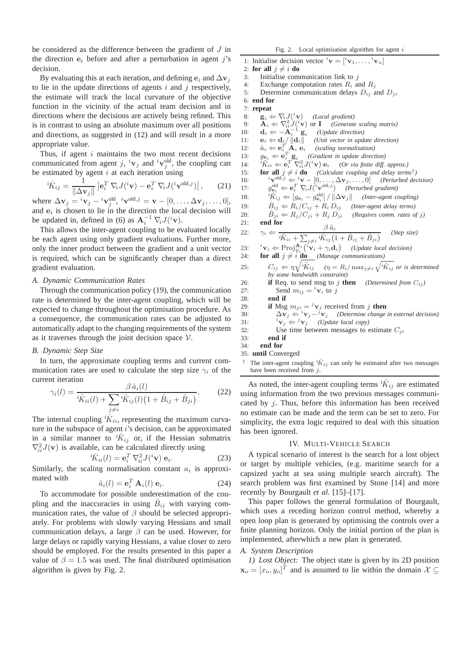be considered as the difference between the gradient of J in the direction  $e_i$  before and after a perturbation in agent j's decision.

By evaluating this at each iteration, and defining  $e_i$  and  $\Delta v_j$ to lie in the update directions of agents  $i$  and  $j$  respectively, the estimate will track the local curvature of the objective function in the vicinity of the actual team decision and in directions where the decisions are actively being refined. This is in contrast to using an absolute maximum over all positions and directions, as suggested in (12) and will result in a more appropriate value.

Thus, if agent  $i$  maintains the two most recent decisions communicated from agent j,  ${}^{i}$ v<sub>j</sub> and  ${}^{i}$ v<sub>j</sub><sup>old</sup>, the coupling can be estimated by agent  $i$  at each iteration using

$$
{}^{i}\hat{K}_{ij} = \frac{1}{\|\Delta \mathbf{v}_{j}\|} \left| \mathbf{e}_{i}^{T} \nabla_{i} J({}^{i} \mathbf{v}) - \mathbf{e}_{i}^{T} \nabla_{i} J({}^{i} \mathbf{v}^{\text{old},j}) \right|, \qquad (21)
$$

where  $\Delta \mathbf{v}_j = {}^{i} \mathbf{v}_j - {}^{i} \mathbf{v}_j^{\text{old}}, {}^{i} \mathbf{v}^{\text{old},j} = \mathbf{v} - [0, \ldots, \Delta \mathbf{v}_j, \ldots, 0],$ and  $e_i$  is chosen to lie in the direction the local decision will be updated in, defined in (6) as  $\mathbf{A}_i^{-1} \nabla_i J({}^{i} \mathbf{v})$ .

This allows the inter-agent coupling to be evaluated locally be each agent using only gradient evaluations. Further more, only the inner product between the gradient and a unit vector is required, which can be significantly cheaper than a direct gradient evaluation.

## *A. Dynamic Communication Rates*

Through the communication policy (19), the communication rate is determined by the inter-agent coupling, which will be expected to change throughout the optimisation procedure. As a consequence, the communication rates can be adjusted to automatically adapt to the changing requirements of the system as it traverses through the joint decision space  $V$ .

#### *B. Dynamic Step Size*

In turn, the approximate coupling terms and current communication rates are used to calculate the step size  $\gamma_i$  of the current iteration

$$
\gamma_i(l) = \frac{\beta \,\hat{a}_i(l)}{\hat{K}_{ii}(l) + \sum_{j \neq i} \hat{K}_{ij}(l)(1 + \hat{B}_{ij} + \hat{B}_{ji})}.
$$
 (22)

The internal coupling  ${}^{i}\hat{K}_{ii}$ , representing the maximum curvature in the subspace of agent  $i$ 's decision, can be approximated in a similar manner to  ${}^{i}\hat{K}_{ij}$  or, if the Hessian submatrix  $\nabla^2_{ii} J(\mathbf{v})$  is available, can be calculated directly using

$$
{}^{i}\hat{K}_{ii}(l) = \mathbf{e}_i^T \nabla_{ii}^2 J({}^{i}\mathbf{v}) \mathbf{e}_i.
$$
 (23)

Similarly, the scaling normalisation constant  $a_i$  is approximated with  $\hat{a}_i(l)$ 

$$
\hat{u}_i(l) = \mathbf{e}_i^T \mathbf{A}_i(l) \mathbf{e}_i.
$$
 (24)

To accommodate for possible underestimation of the coupling and the inaccuracies in using  $\hat{B}_{ij}$  with varying communication rates, the value of  $\beta$  should be selected appropriately. For problems with slowly varying Hessians and small communication delays, a large  $\beta$  can be used. However, for large delays or rapidly varying Hessians, a value closer to zero should be employed. For the results presented in this paper a value of  $\beta = 1.5$  was used. The final distributed optimisation algorithm is given by Fig. 2.

1: Initialise decision vector  ${}^{i}\mathbf{v} = [{}^{i}\mathbf{v}_1, \ldots, {}^{i}\mathbf{v}_n]$ 2: **for all**  $i \neq i$  **do** 3: Initialise communication link to  $j$ 4: Exchange computation rates  $R_i$  and  $R_j$ 5: Determine communication delays  $D_{ij}$  and  $D_{ji}$ 6: **end for** 7: **repeat** 8:  $\mathbf{g}_i \Leftarrow \nabla_i J(\mathbf{v})$  *(Local gradient)* 9:  $\mathbf{A}_i \leftarrow \nabla_{ii}^2 J({}^i \mathbf{v})$  or **I** *(Generate scaling matrix)* 10:  $\mathbf{d}_i \leftarrow -\mathbf{A}_i^{-1} \mathbf{g}_i$  (*Update direction*) 11:  $\mathbf{e}_i \leftarrow \mathbf{d}_{\mathcal{H}} / \|\mathbf{d}_i\|$  *(Unit vector in update direction)* 12:  $\hat{a}_i \Leftarrow \mathbf{e}_i^T$ *(scaling normalisation)* 13:  $g_{\mathbf{e}_i} \Leftarrow \mathbf{e}_i^T \mathbf{g}_i$  *(Gradient in update direction)*<br>
14:  ${}^i\hat{K}_{ii} \Leftarrow \mathbf{e}_i^T \nabla_{ii}^2 J({}^i \mathbf{v}) \mathbf{e}_i$  *(Or via finite diff. approx.)* 15: **for all**  $j \neq i$  **do** *(Calculate coupling and delay terms*<sup>†</sup>)<br>
16:  ${}^{i}v^{old,j} \leftarrow {}^{i}v - [0, \ldots, \Delta v_j, \ldots, 0]$  *(Perturbed decision)* 17:  $g_{e_i}^{\text{old}} \Leftarrow e_i^T \nabla_i J({}^i \mathbf{v}^{\text{old},j})$  *(Perturbed gradient)* 18:  $i\hat{K}_{ij} \leftarrow |g_{\mathbf{e}_i} - g_{\mathbf{e}_i}^{\text{old}}| / ||\Delta \mathbf{v}_j||$  (Inter-agent coupling) 19:  $\hat{B}_{ij} \Leftarrow R_i/C_{ij} + R_i D_{ij}$  *(Inter-agent delay terms)* 20:  $\hat{B}_{ji} \leftarrow R_j/C_{ji} + R_j D_{ji}$  *(Requires comm. rates of j)*<br>21: **end for** end for 22:  $\gamma_i \Leftarrow \frac{\partial}{\partial x_i} \frac{\partial}{\partial y_i} \left(1 + \hat{B}_{ij} + \hat{B}_{ji}\right)$  (Step size)  $\beta$   $\hat{a}_i$ 23:  $i_{\mathbf{V}_i} \leftarrow \text{Proj}_{\mathcal{V}_i}^{\mathbf{A}_i} \left( i_{\mathbf{V}_i} + \gamma_i \mathbf{d}_i \right)$  (*Update local decision*) 24: **for all**  $j \neq i$  **do** *(Manage communications)* 25:  $C_{ij} \Leftarrow \eta \sqrt{i \hat{K}_{ij}}$   $(\eta = R_i / \max_{j \neq i} \sqrt{i \hat{K}_{ij}}$  or is determined *by some bandwidth constraint)* 26: **if** Req. to send msg to j **then** *(Determined from*  $C_{ij}$ *)* 27: Send  $m_{ij} = {^i}v_i$  to j 28: **end if** 29: **if** Msg  $m_{ji} = {}^j\mathbf{v}_j$  received from j **then** 30:  $\Delta \mathbf{v}_j \Leftarrow i \mathbf{v}_j - j \mathbf{v}_j$  *(Determine change in external decision)* 31:  ${}^{i}\mathbf{v}_{j} \Leftarrow {}^{j}\mathbf{v}_{j}$  *(Update local copy)* 32: Use time between messages to estimate  $C_{ji}$ 33: **end if** 34: **end for** 35: **until** Converged <sup>†</sup> The inter-agent coupling  ${}^{i}\hat{K}_{ij}$  can only be estimated after two messages have been received from  $j$ .

As noted, the inter-agent coupling terms  ${}^{i}\hat{K}_{ij}$  are estimated using information from the two previous messages communicated by j. Thus, before this information has been received no estimate can be made and the term can be set to zero. For simplicity, the extra logic required to deal with this situation has been ignored.

#### IV. MULTI-VEHICLE SEARCH

A typical scenario of interest is the search for a lost object or target by multiple vehicles, (e.g. maritime search for a capsized yacht at sea using multiple search aircraft). The search problem was first examined by Stone [14] and more recently by Bourgault *et al*. [15]–[17].

This paper follows the general formulation of Bourgault, which uses a receding horizon control method, whereby a open loop plan is generated by optimising the controls over a finite planning horizon. Only the initial portion of the plan is implemented, afterwhich a new plan is generated.

## *A. System Description*

*1) Lost Object:* The object state is given by its 2D position  $\mathbf{x}_o = [x_o, y_o]^T$  and is assumed to lie within the domain  $\mathcal{X} \subseteq$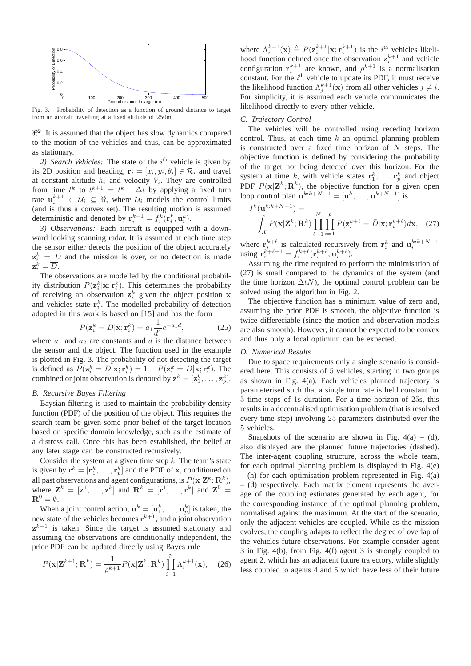

Fig. 3. Probability of detection as a function of ground distance to target from an aircraft travelling at a fixed altitude of 250m.

 $\mathbb{R}^2$ . It is assumed that the object has slow dynamics compared to the motion of the vehicles and thus, can be approximated as stationary.

2) Search Vehicles: The state of the  $i<sup>th</sup>$  vehicle is given by its 2D position and heading,  $\mathbf{r}_i = [x_i, y_i, \theta_i] \in \mathcal{R}_i$  and travel at constant altitude  $h_i$  and velocity  $V_i$ . They are controlled from time  $t^k$  to  $t^{k+1} = t^k + \Delta t$  by applying a fixed turn rate  $\mathbf{u}_i^{k+1} \in \mathcal{U}_i \subseteq \Re$ , where  $\mathcal{U}_i$  models the control limits (and is thus a convex set). The resulting motion is assumed deterministic and denoted by  $\mathbf{r}_i^{k+1} = f_i^k(\mathbf{r}_i^k, \mathbf{u}_i^k)$ .

*3) Observations:* Each aircraft is equipped with a downward looking scanning radar. It is assumed at each time step the sensor either detects the position of the object accurately  $z_i^k = D$  and the mission is over, or no detection is made  $\mathbf{z}_i^{\dot{k}} = \overline{D}.$ 

The observations are modelled by the conditional probability distribution  $P(\mathbf{z}_i^k|\mathbf{x}; \mathbf{r}_i^k)$ . This determines the probability of receiving an observation  $z_i^k$  given the object position x and vehicles state  $\mathbf{r}_i^k$ . The modelled probability of detection adopted in this work is based on [15] and has the form

$$
P(\mathbf{z}_i^k = D|\mathbf{x}; \mathbf{r}_i^k) = a_1 \frac{1}{d^4} e^{-a_1 d},
$$
 (25)

where  $a_1$  and  $a_2$  are constants and d is the distance between the sensor and the object. The function used in the example is plotted in Fig. 3. The probability of not detecting the target is defined as  $P(\mathbf{z}_i^k = \overline{D}|\mathbf{x}; \mathbf{r}_i^k) = 1 - P(\mathbf{z}_i^k = D|\mathbf{x}; \mathbf{r}_i^k)$ . The combined or joint observation is denoted by  $\mathbf{z}^k = [\mathbf{z}^k_1, \dots, \mathbf{z}^k_p]$ .

## *B. Recursive Bayes Filtering*

Baysian filtering is used to maintain the probability density function (PDF) of the position of the object. This requires the search team be given some prior belief of the target location based on specific domain knowledge, such as the estimate of a distress call. Once this has been established, the belief at any later stage can be constructed recursively.

Consider the system at a given time step  $k$ . The team's state is given by  $\mathbf{r}^k = [\mathbf{r}_1^k, \dots, \mathbf{r}_p^k]$  and the PDF of x, conditioned on all past observations and agent configurations, is  $P(\mathbf{x}|\mathbf{Z}^k; \mathbf{R}^k)$ , where  $\mathbf{Z}^k = [\mathbf{z}^1, \dots, \mathbf{z}^k]$  and  $\mathbf{R}^k = [\mathbf{r}^1, \dots, \mathbf{r}^k]$  and  $\mathbf{Z}^0 =$  ${\bf R}^0=\emptyset.$ 

When a joint control action,  $\mathbf{u}^k = [\mathbf{u}_1^k, \dots, \mathbf{u}_p^k]$  is taken, the new state of the vehicles becomes  $r^{k+1}$ , and a joint observation  $z^{k+1}$  is taken. Since the target is assumed stationary and assuming the observations are conditionally independent, the prior PDF can be updated directly using Bayes rule

$$
P(\mathbf{x}|\mathbf{Z}^{k+1};\mathbf{R}^k) = \frac{1}{\rho^{k+1}}P(\mathbf{x}|\mathbf{Z}^k;\mathbf{R}^k)\prod_{i=1}^p \Lambda_i^{k+1}(\mathbf{x}),\quad(26)
$$

where  $\Lambda_i^{k+1}(\mathbf{x}) \triangleq P(\mathbf{z}_i^{k+1}|\mathbf{x}; \mathbf{r}_i^{k+1})$  is the  $i^{\text{th}}$  vehicles likelihood function defined once the observation  $z_i^{k+1}$  and vehicle configuration  $\mathbf{r}_i^{k+1}$  are known, and  $\rho^{k+1}$  is a normalisation constant. For the  $i<sup>th</sup>$  vehicle to update its PDF, it must receive the likelihood function  $\Lambda_j^{k+1}(\mathbf{x})$  from all other vehicles  $j \neq i$ . For simplicity, it is assumed each vehicle communicates the likelihood directly to every other vehicle.

#### *C. Trajectory Control*

The vehicles will be controlled using receding horizon control. Thus, at each time  $k$  an optimal planning problem is constructed over a fixed time horizon of  $N$  steps. The objective function is defined by considering the probability of the target not being detected over this horizon. For the system at time k, with vehicle states  $r_1^k, \ldots, r_p^k$  and object PDF  $P(\mathbf{x}|\mathbf{Z}^k; \mathbf{R}^k)$ , the objective function for a given open loop control plan  $\mathbf{u}^{k:k+N-1} = [\mathbf{u}^k, \dots, \mathbf{u}^{k+N-1}]$  is

$$
J^{k}(\mathbf{u}^{k:k+N-1}) = \int_{\mathcal{X}} P(\mathbf{x}|\mathbf{Z}^{k}; \mathbf{R}^{k}) \prod_{\ell=1}^{N} \prod_{i=1}^{p} P(\mathbf{z}_{i}^{k+\ell} = \bar{D}|\mathbf{x}; \mathbf{r}_{i}^{k+\ell}) d\mathbf{x}, \quad (27)
$$

where  $\mathbf{r}_{i}^{k+\ell}$  is calculated recursively from  $\mathbf{r}_{i}^{k}$  and  $\mathbf{u}_{i}^{k:k+N-1}$  using  $\mathbf{r}_{i}^{k+\ell+1} = f_{i}^{k+\ell}(\mathbf{r}_{i}^{k+\ell}, \mathbf{u}_{i}^{k+\ell})$ .

Assuming the time required to perform the minimisation of (27) is small compared to the dynamics of the system (and the time horizon  $\Delta t$ N), the optimal control problem can be solved using the algorithm in Fig. 2.

The objective function has a minimum value of zero and, assuming the prior PDF is smooth, the objective function is twice differeciable (since the motion and observation models are also smooth). However, it cannot be expected to be convex and thus only a local optimum can be expected.

## *D. Numerical Results*

Due to space requirements only a single scenario is considered here. This consists of 5 vehicles, starting in two groups as shown in Fig. 4(a). Each vehicles planned trajectory is parameterised such that a single turn rate is held constant for 5 time steps of 1s duration. For a time horizon of 25s, this results in a decentralised optimisation problem (that is resolved every time step) involving 25 parameters distributed over the 5 vehicles.

Snapshots of the scenario are shown in Fig.  $4(a) - (d)$ , also displayed are the planned future trajectories (dashed). The inter-agent coupling structure, across the whole team, for each optimal planning problem is displayed in Fig. 4(e)  $-$  (h) for each optimisation problem represented in Fig. 4(a) – (d) respectively. Each matrix element represents the average of the coupling estimates generated by each agent, for the corresponding instance of the optimal planning problem, normalised against the maximum. At the start of the scenario, only the adjacent vehicles are coupled. While as the mission evolves, the coupling adapts to reflect the degree of overlap of the vehicles future observations. For example consider agent 3 in Fig. 4(b), from Fig. 4(f) agent 3 is strongly coupled to agent 2, which has an adjacent future trajectory, while slightly less coupled to agents 4 and 5 which have less of their future